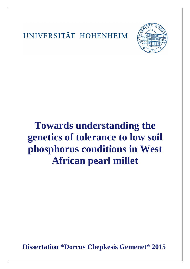UNIVERSITÄT HOHENHEIM



## **Towards understanding the genetics of tolerance to low soil phosphorus conditions in West African pearl millet**

**Dissertation \*Dorcus Chepkesis Gemenet\* 2015**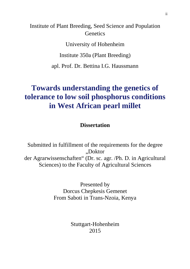Institute of Plant Breeding, Seed Science and Population **Genetics** 

University of Hohenheim

Institute 350a (Plant Breeding)

apl. Prof. Dr. Bettina I.G. Haussmann

## **Towards understanding the genetics of tolerance to low soil phosphorus conditions in West African pearl millet**

**Dissertation** 

Submitted in fulfillment of the requirements for the degree "Doktor der Agrarwissenschaften" (Dr. sc. agr. /Ph. D. in Agricultural Sciences) to the Faculty of Agricultural Sciences

> Presented by Dorcus Chepkesis Gemenet From Saboti in Trans-Nzoia, Kenya

> > Stuttgart-Hohenheim 2015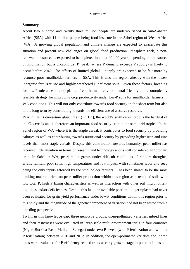## **Summary**

About two hundred and twenty three million people are undernourished in Sub-Saharan Africa (SSA) with 11 million people being food insecure in the Sahel region of West Africa (WA). A growing global population and climate change are expected to exacerbate this situation and present new challenges on global food production. Phosphate rock, a nonrenewable resource is expected to be depleted in about 40-400 years depending on the source of information but a phosphorus (P) peak (where P demand exceeds P supply) is likely to occur before 2040. The effects of limited global P supply are expected to be felt more by resource poor smallholder farmers in SSA. This is also the region already with the lowest inorganic fertilizer use and highly weathered P deficient soils. Given these factors, breeding for low-P tolerance in crop plants offers the main environmental friendly and economically feasible strategy for improving crop productivity under low-P soils for smallholder farmers in WA conditions. This will not only contribute towards food security in the short term but also in the long term by contributing towards the efficient use of a scarce resource.

Pearl millet [*Pennisetum glaucum* (L.) R. Br.], the world's sixth cereal crop is the hardiest of the C4 cereals and is therefore an important food security crop in the semi-arid tropics. In the Sahel region of WA where it is the staple cereal, it contributes to food security by providing calories as well as contributing towards nutritional security by providing higher iron and zinc levels than most staple cereals. Despite this contribution towards humanity, pearl millet has received little attention in terms of research and technology and is still considered an 'orphan' crop. In Sahelian WA, pearl millet grows under difficult conditions of random droughts, erratic rainfall, poor soils, high temperatures and low inputs, with sometimes labor and seed being the only inputs afforded by the smallholder farmers. P has been shown to be the most limiting macronutrient on pearl millet production within this region as a result of soils with low total P, high P fixing characteristics as well as interaction with other soil micronutrient toxicities and/or deficiencies. Despite this fact, the available pearl millet germplasm had never been evaluated for grain yield performance under low-P conditions within this region prior to this study and the magnitude of the genetic component of variation had not been tested from a breeding perspective.

To fill in this knowledge gap, three genotype groups: open-pollinated varieties, inbred lines and their testcrosses were evaluated in large-scale multi-environment trials in four countries (Niger, Burkina Faso, Mali and Senegal) under two P-levels (with P fertilization and without P fertilization) between 2010 and 2012. In addition, the open-pollinated varieties and inbred lines were evaluated for P-efficiency related traits at early growth stage in pot conditions and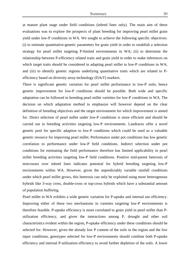at mature plant stage under field conditions (inbred lines only). The main aim of these evaluations was to explore the prospects of plant breeding for improving pearl millet grain yield under low-P conditions in WA. We sought to achieve the following specific objectives: (i) to estimate quantitative-genetic parameters for grain yield in order to establish a selection strategy for pearl millet targeting P-limited environments in WA; (ii) to determine the relationship between P-efficiency related traits and grain yield in order to make inferences on which target traits should be considered in adapting pearl millet to low-P conditions in WA; and (iii) to identify genetic regions underlying quantitative traits which are related to Pefficiency based on diversity array technology (DArT) markers.

There is significant genetic variation for pearl millet performance in low-P soils; hence genetic improvement for low-P conditions should be possible. Both wide and specific adaptation can be followed in breeding pearl millet varieties for low-P conditions in WA. The decision on which adaptation method to emphasize will however depend on the clear definition of breeding objectives and the target environment for which improvement is aimed for. Direct selection of pearl millet under low-P conditions is more efficient and should be carried out in breeding activities targeting low-P environments. Landraces offer a novel genetic pool for specific adaption to low-P conditions which could be used as a valuable genetic resource for improving pearl millet. Performance under pot conditions has low genetic correlation to performance under low-P field conditions. Indirect selection under pot conditions for estimating the field performance therefore has limited applicability in pearl millet breeding activities targeting low-P field conditions. Positive mid-parent heterosis of testcrosses over inbred lines indicates potential for hybrid breeding targeting low-P environments within WA. However, given the unpredictably variable rainfall conditions under which pearl millet grows, this heterosis can only be exploited using more heterogenous hybrids like 3-way cross, double-cross or top-cross hybrids which have a substantial amount of population buffering.

Pearl millet in WA exhibits a wide genetic variation for P-uptake and internal use efficiency. Improving either of these two mechanisms in varieties targeting low-P environments is therefore feasible. P-uptake efficiency is more correlated to grain yield in pearl millet than Putilization efficiency, and given the interactions among P, drought and other soil characteristics evident within the region, P-uptake efficiency under these conditions should be selected for. However, given the already low P content of the soils in the region and the low input conditions, genotypes selected for low-P environments should combine both P-uptake efficiency and internal P-utilization efficiency to avoid further depletion of the soils. A lower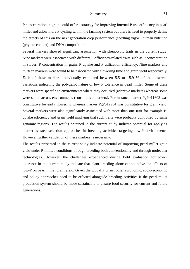P concentration in grain could offer a strategy for improving internal P-use efficiency in pearl millet and allow more P cycling within the farming system but there is need to properly define the effects of this on the next generation crop performance (seedling vigor), human nutrition (phytate content) and DNA composition.

Several markers showed significant association with phenotypic traits in the current study. Nine markers were associated with different P-efficiency-related traits such as P concentration in stover, P concentration in grain, P uptake and P utilization efficiency. Nine markers and thirteen markers were found to be associated with flowering time and grain yield respectively. Each of these markers individually explained between 5.5 to 15.9 % of the observed variations indicating the polygenic nature of low P tolerance in pearl millet. Some of these markers were specific to environments where they occurred (adaptive markers) whereas some were stable across environments (constitutive markers). For instance marker PgPb11603 was constitutive for early flowering whereas marker PgPb12954 was constitutive for grain yield. Several markers were also significantly associated with more than one trait for example Puptake efficiency and grain yield implying that such traits were probably controlled by same genomic regions. The results obtained in the current study indicate potential for applying marker-assisted selection approaches in breeding activities targeting low-P environments. However further validation of these markers is necessary.

The results presented in the current study indicate potential of improving pearl millet grain yield under P-limited conditions through breeding both conventionally and through molecular technologies. However, the challenges experienced during field evaluation for low-P tolerance in the current study indicate that plant breeding alone cannot solve the effects of low-P on pearl millet grain yield. Given the global P crisis, other agronomic, socio-economic and policy approaches need to be effected alongside breeding activities if the pearl millet production system should be made sustainable to ensure food security for current and future generations.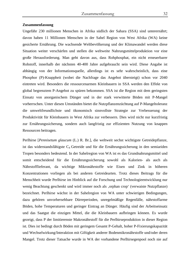## **Zusammenfassung**

Ungefähr 230 millionen Menschen in Afrika südlich der Sahara (SSA) sind unterernährt; davon haben 11 Millionen Menschen in der Sahel Region von West Afrika (WA) keine gesicherte Ernährung. Die wachsende Weltbevölkerung und der Klimawandel werden diese Situation weiter verschärfen und stellen die weltweite Nahrungsmittelproduktion vor eine große Herausforderung. Man geht davon aus, dass Rohphosphat, ein nicht erneuerbarer Rohstoff, innerhalb der nächsten 40-400 Jahre aufgebraucht sein wird. Diese Angabe ist abhängig von der Informationsquelle, allerdings ist es sehr wahrscheinlich, dass eine Phosphor (P)-Knappheit (wobei die Nachfrage das Angebot übersteigt) schon vor 2040 eintreten wird. Besonders die ressourcenarmen Kleinbauern in SSA werden den Effekt von global begrenztem P-Angebot zu spüren bekommen. SSA ist die Region mit dem geringsten Einsatz von anorganischem Dünger und in der stark verwitterte Böden mit P-Mangel vorherrschen. Unter diesen Umständen bietet die Nutzpflanzenzüchtung auf P-Mangeltoleranz die umweltfreundlichste und ökonomisch sinnvollste Strategie zur Verbesserung der Produktivität für Kleinbauern in West Afrika zur verbessern. Dies wird nicht nur kurzfristig zur Ernährungssicherung, sondern auch langfristig zur effizienten Nutzung von knappen Ressourcen beitragen.

Perlhirse [*Pennisetum glaucum* (L.) R. Br.], die weltweit sechst wichtigste Getreidepflanze, ist das widerstandsfähigste C4 Getreide und für die Ernährungssicherung in den semiariden Tropen besonders bedeutend. In der Sahelregion von WA ist es das Grundnahrungsmittel und somit entscheidend für die Ernährungssicherung sowohl als Kalorien- als auch als Nährstofflieferant, da wichtige Mikronährstoffe wie Eisen und Zink in höheren Konzentrationen vorliegen als bei anderen Getreidearten. Trotz dieses Beitrags für die Menschheit wurde Perlhirse im Hinblick auf die Forschung und Technologieentwicklung nur wenig Beachtung geschenkt und wird immer noch als ,orphan crop' (verwaiste Nutzpflanze) bezeichnet. Perlhirse wächst in der Sahelregion von WA unter schwierigen Bedingungen, dazu gehören unvorhersehbare Dürreperioden, unregelmäßige Regenfälle, nährstoffarme Böden, hohe Temperaturen und geringer Eintrag an Dünger. Häufig sind der Arbeitseinsatz und das Saatgut die einzigen Mittel, die die Kleinbauern aufbringen können. Es wurde gezeigt, dass P der limitierenste Makronährstoff für die Perlhirseproduktion in dieser Region ist. Dies ist bedingt durch Böden mit geringem Gesamt P-Gehalt, hoher P-Fixierungskapazität und Wechselwirkung/Interaktion mit Giftigkeit anderer Bodenmikronährstoffe und/oder deren Mangel. Trotz dieser Tatsache wurde in WA der vorhandene Perlhirsegenpool noch nie auf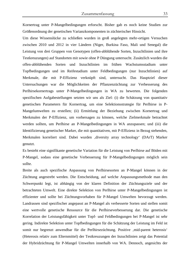Kornertrag unter P-Mangelbedingungen erforscht. Bisher gab es noch keine Studien zur Größenordnung der genetischen Varianzkomponenten in züchterischer Hinsicht.

Um diese Wissenslücke zu schließen wurden in groß angelegten mehr-ortigen Versuchen zwischen 2010 und 2012 in vier Ländern (Niger, Burkina Faso, Mali und Senegal) die Leistung von drei Gruppen von Genotypen (offen-abblühende Sorten, Inzuchtlinien und ihre Testkreuzungen) auf Standorten mit sowie ohne P Düngung untersucht. Zusätzlich wurden die offen-abblühenden Sorten und Inzuchtlinien im frühen Wachstumsstadium unter Topfbedingungen und im Reifestadium unter Feldbedingungen (nur Inzuchtlinien) auf Merkmale, die mit P-Effizienz verknüpft sind, untersucht. Das Hauptziel dieser Untersuchungen war die Möglichkeiten der Pflanzenzüchtung zur Verbesserung des Perlhirsekornertrags unter P-Mangelbedingungen in WA zu bewerten. Die folgenden spezifischen Aufgabestellungen setzten wir uns als Ziel: (i) die Schätzung von quantitativ genetischen Parametern für Kornertrag, um eine Selektionsstrategie für Perlhirse in P-Mangelumwelten zu erstellen; (ii) Ermittlung der Beziehung zwischen Kornertrag und Merkmalen der P-Effizienz, um vorhersagen zu können, welche Zielmerkmale betrachtet werden sollten, um Perlhirse an P-Mangelbedingungen in WA anzupassen; und (iii) die Identifizierung genetischer Marker, die mit quantitativen, mit P-Effizienz in Bezug stehenden, Merkmalen korreliert sind. Dabei wurden ,diversity array technology' (DArT) Marker genutzt.

Es besteht eine signifikante genetische Variation für die Leistung von Perlhirse auf Böden mit P-Mangel, sodass eine genetische Verbesserung für P-Mangelbedingungen möglich sein sollte.

Breite als auch spezifische Anpassung von Perlhirsesorten an P-Mangel können in der Züchtung angestrebt werden. Die Entscheidung, auf welche Anpassungsmethode man den Schwerpunkt legt, ist abhängig von der klaren Definition der Züchtungsziele und der betrachteten Umwelt. Eine direkte Selektion von Perlhirse unter P-Mangelbedingungen ist effizienter und sollte bei Züchtungsvorhaben für P-Mangel Umwelten bevorzugt werden. Landrassen sind spezifischer angepasst an P-Mangel als verbesserte Sorten und stellen somit eine wertvolle genetische Ressource für die Perlhirseverbesserung dar. Die genetische Korrelation der Leistungsfähigkeit unter Topf- und Feldbedingungen bei P-Mangel ist sehr gering. Indirekte Selektion unter Topfbedingungen für die Schätzung der Leistung im Feld ist somit nur begrenzt anwendbar für die Perlhirsezüchtung. Positive , mid-parent heterosis' (Heterosis relativ zum Elternmittel) der Testkreuzungen der Inzuchtlinien zeigt das Potential der Hybridzüchtung für P-Mangel Umwelten innerhalb von WA. Dennoch, angesichts der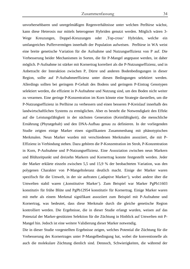unvorhersehbaren und unregelmäßigen Regenverhältnisse unter welchen Perlhirse wächst, kann diese Heterosis nur mittels heterogener Hybriden genutzt werden. Möglich wären 3- Wege Kreuzungen, Doppel-Kreuzungen oder ,Top-cross' Hybriden, welche ein umfangreiches Puffervermögen innerhalb der Population aufweisen. Perlhirse in WA weist eine breite genetische Variation für die Aufnahme und Nutzungseffizienz von P auf. Die Verbesserung beider Mechanismen in Sorten, die für P-Mangel angepasst werden, ist daher möglich. P-Aufnahme ist stärker mit Kornertrag korreliert als die P-Nutzungseffizienz, und in Anbetracht der Interaktion zwischen P, Dürre und anderen Bodenbedingungen in dieser Region, sollte auf P-Aufnahmeeffizienz unter diesen Bedingungen selektiert werden. Allerdings sollten bei geringem P-Gehalt des Bodens und geringem P-Eintrag Genotypen selektiert werden, die effizient in P-Aufnahme und Nutzung sind, um den Boden nicht weiter zu verarmen. Eine geringe P-Konzentration im Korn könnte eine Strategie darstellen, um die P-Nutzungseffizienz in Perlhirse zu verbessern und einen besseren P-Kreislauf innerhalb des landwirtschaftlichen Systems zu ermöglichen. Aber es besteht die Notwendigkeit den Effekt auf die Leistungsfähigkeit in der nächsten Generation (Keimfähigkeit), die menschliche Ernährung (Phytatgehalt) und den DNA-Aufbau genau zu definieren. In der vorliegenden Studie zeigten einige Marker einen signifikanten Zusammenhang mit phänotypischen Merkmalen. Neun Marker wurden mit verschiedenen Merkmalen assoziiert, die mit P-Effizienz in Verbindung stehen. Dazu gehören die P-Konzentration im Stroh, P-Konzentration in Korn, P-Aufnahme und P-Nutzungseffizienz. Eine Assoziation zwischen neun Markern und Blühzeitpunkt und dreizehn Markern und Kornertrag konnte festgestellt werden. Jeder der Marker erklärte einzeln zwischen 5,5 und 15,9 % der beobachteten Variation, was den polygenen Charakter von P-Mangeltoleranz deutlich macht. Einige der Marker waren spezifisch für die Umwelt, in der sie auftraten (, adaptive Marker'), wobei andere über die Umwelten stabil waren (, konstitutive Marker'). Zum Beispiel war Marker PgPb11603 konstitutiv für frühe Blüte und PgPb12954 konstitutiv für Kornertrag. Einige Marker waren mit mehr als einem Merkmal signifikant assoziiert zum Beispiel mit P-Aufnahme und Kornertrag, was bedeutet, dass diese Merkmale durch die gleiche genetische Region kontrolliert werden. Die Ergebnisse, die in dieser Studie erlangt wurden, weisen auf das Potenzial der Marker-gestützten Selektion für die Züchtung in Hinblick auf Umwelten mit P-Mangel hin. Jedoch ist eine weitere Validierung dieser Marker notwendig.

Die in dieser Studie vorgestellten Ergebnisse zeigen, welches Potential die Züchtung für die Verbesserung des Kornertrages unter P-Mangelbedingung hat, wobei die konventionelle als auch die molekulare Züchtung dienlich sind. Dennoch, Schwierigkeiten, die während der